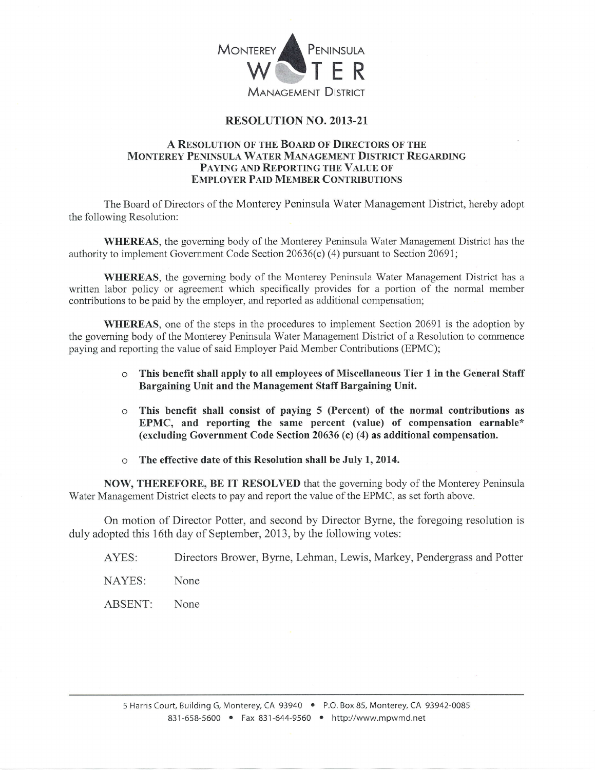

## RESOLUTION NO. 2OI3-2I

## A RESOLUTION OF THE BOARD OF DIRECTORS OF THE MONTEREY PENINSULA WATER MANAGEMENT DISTRICT REGARDING PAYING AND REPORTING THE VALUE OF EMPLOYER PAID MEMBER CONTRIBUTIONS

The Board of Directors of the Monterey Peninsula Water Management District, hereby adopt the following Resolution:

WHEREAS, the governing body of the Monterey Peninsula Water Management District has the authority to implement Government Code Section 20636(c) (4) pursuant to Section 20691;

WHEREAS, the governing body of the Monterey Peninsula Water Management District has a written labor policy or agreement which specifically provides for a portion of the normal member contributions to be paid by the employer, and reported as additional compensation;

WHEREAS, one of the steps in the procedures to implement Section 20691 is the adoption by the governing body of the Monterey Peninsula Water Management District of a Resolution to commence paying and reporting the value of said Employer Paid Member Contributions (EPMC);

- o This benefit shall apply to all employees of Miscellaneous Tier 1 in the General Staff Bargaining Unit and the Management Staff Bargaining Unit.
- $\circ$  This benefit shall consist of paying 5 (Percent) of the normal contributions as EPMC, and reporting the same percent (value) of compensation earnable\* (excluding Government Code Section 20636 (c) (4) as additional compensation.
- o The effective date of this Resolution shall be July 1,2014.

NOW, THEREFORE, BE IT RESOLVED that the governing body of the Monterey Peninsula Water Management District elects to pay and report the value of the EPMC, as set forth above.

On motion of Director Potter, and second by Director Byrne, the foregoing resolution is duly adopted this 16th day of September, 2013, by the following votes:

AYES: Directors Brower, Byrne, Lehman, Lewis, Markey, Pendergrass and Potter

NAYES: None

ABSENT: None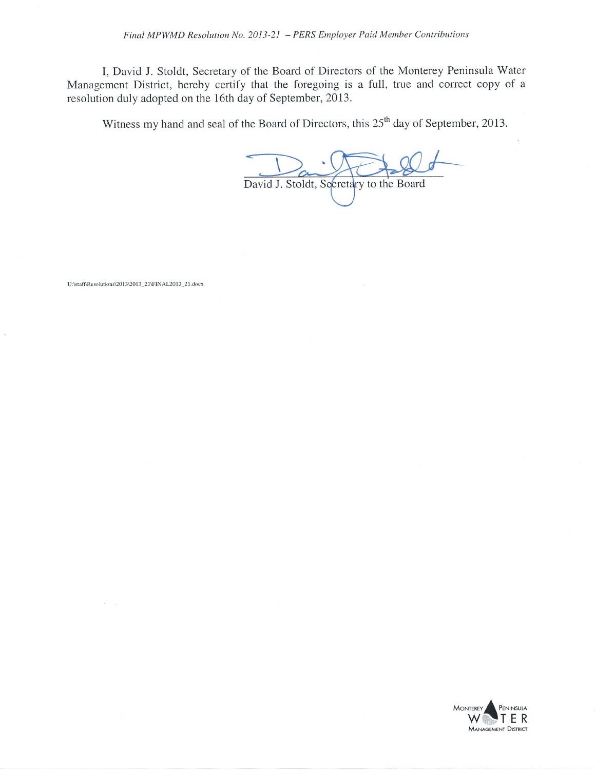I, David J. Stoldt, Secretary of the Board of Directors of the Monterey Peninsula Water Management District, hereby certify that the foregoing is a full, true and correct copy of <sup>a</sup> resolution duly adopted on the 16th day of September, 2013.

Witness my hand and seal of the Board of Directors, this  $25<sup>th</sup>$  day of September, 2013.

David J. Stoldt, Secretary to the Board

U:\staff\Resolutions\2013\2013\_21\FINAL2013\_21.docx